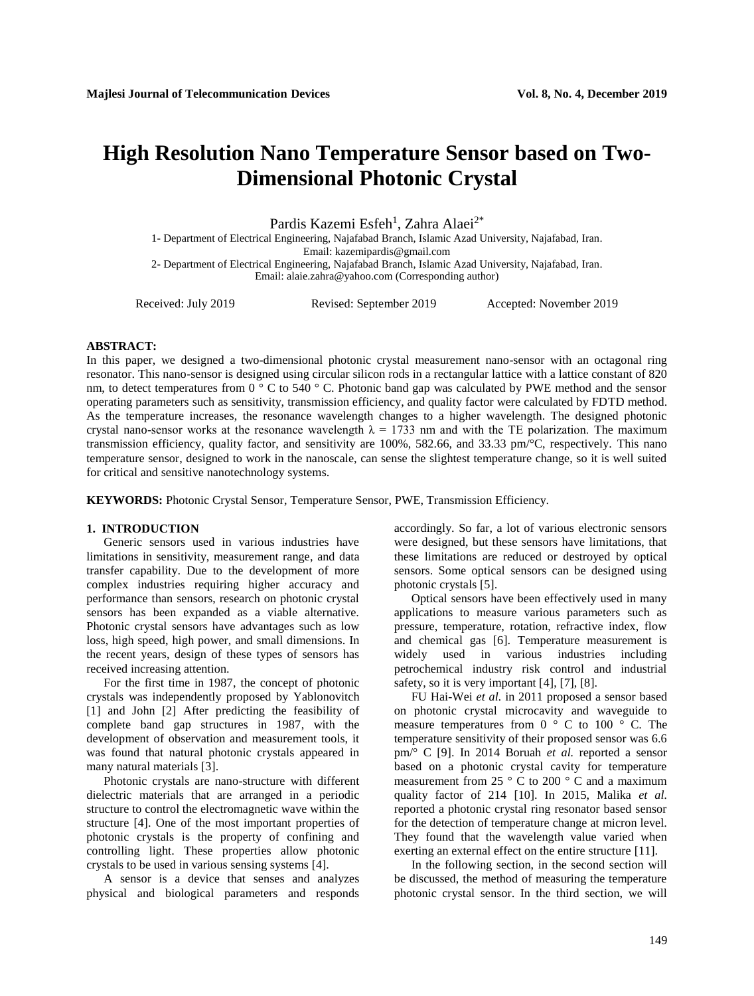# **High Resolution Nano Temperature Sensor based on Two-Dimensional Photonic Crystal**

Pardis Kazemi Esfeh<sup>1</sup>, Zahra Alaei<sup>2\*</sup>

1- Department of Electrical Engineering, Najafabad Branch, Islamic Azad University, Najafabad, Iran.

Email: [kazemipardis@gmail.com](mailto:kazemipardis@gmail.com)

2- Department of Electrical Engineering, Najafabad Branch, Islamic Azad University, Najafabad, Iran. Email: [alaie.zahra@yahoo.com](mailto:alaie.zahra@yahoo.com) (Corresponding author)

Received: July 2019 Revised: September 2019 Accepted: November 2019

# **ABSTRACT:**

In this paper, we designed a two-dimensional photonic crystal measurement nano-sensor with an octagonal ring resonator. This nano-sensor is designed using circular silicon rods in a rectangular lattice with a lattice constant of 820 nm, to detect temperatures from 0 ° C to 540 ° C. Photonic band gap was calculated by PWE method and the sensor operating parameters such as sensitivity, transmission efficiency, and quality factor were calculated by FDTD method. As the temperature increases, the resonance wavelength changes to a higher wavelength. The designed photonic crystal nano-sensor works at the resonance wavelength  $\lambda = 1733$  nm and with the TE polarization. The maximum transmission efficiency, quality factor, and sensitivity are 100%, 582.66, and 33.33 pm/°C, respectively. This nano temperature sensor, designed to work in the nanoscale, can sense the slightest temperature change, so it is well suited for critical and sensitive nanotechnology systems.

**KEYWORDS:** Photonic Crystal Sensor, Temperature Sensor, PWE, Transmission Efficiency.

# **1. INTRODUCTION**

Generic sensors used in various industries have limitations in sensitivity, measurement range, and data transfer capability. Due to the development of more complex industries requiring higher accuracy and performance than sensors, research on photonic crystal sensors has been expanded as a viable alternative. Photonic crystal sensors have advantages such as low loss, high speed, high power, and small dimensions. In the recent years, design of these types of sensors has received increasing attention.

For the first time in 1987, the concept of photonic crystals was independently proposed by Yablonovitch [1] and John [2] After predicting the feasibility of complete band gap structures in 1987, with the development of observation and measurement tools, it was found that natural photonic crystals appeared in many natural materials [3].

Photonic crystals are nano-structure with different dielectric materials that are arranged in a periodic structure to control the electromagnetic wave within the structure [4]. One of the most important properties of photonic crystals is the property of confining and controlling light. These properties allow photonic crystals to be used in various sensing systems [4].

A sensor is a device that senses and analyzes physical and biological parameters and responds accordingly. So far, a lot of various electronic sensors were designed, but these sensors have limitations, that these limitations are reduced or destroyed by optical sensors. Some optical sensors can be designed using photonic crystals [5].

Optical sensors have been effectively used in many applications to measure various parameters such as pressure, temperature, rotation, refractive index, flow and chemical gas [6]. Temperature measurement is widely used in various industries including petrochemical industry risk control and industrial safety, so it is very important [4], [7], [8].

FU Hai-Wei *et al.* in 2011 proposed a sensor based on photonic crystal microcavity and waveguide to measure temperatures from  $0^\circ$  C to  $100^\circ$  C. The temperature sensitivity of their proposed sensor was 6.6 pm/° C [9]. In 2014 Boruah *et al.* reported a sensor based on a photonic crystal cavity for temperature measurement from 25 ° C to 200 ° C and a maximum quality factor of 214 [10]. In 2015, Malika *et al.* reported a photonic crystal ring resonator based sensor for the detection of temperature change at micron level. They found that the wavelength value varied when exerting an external effect on the entire structure [11].

In the following section, in the second section will be discussed, the method of measuring the temperature photonic crystal sensor. In the third section, we will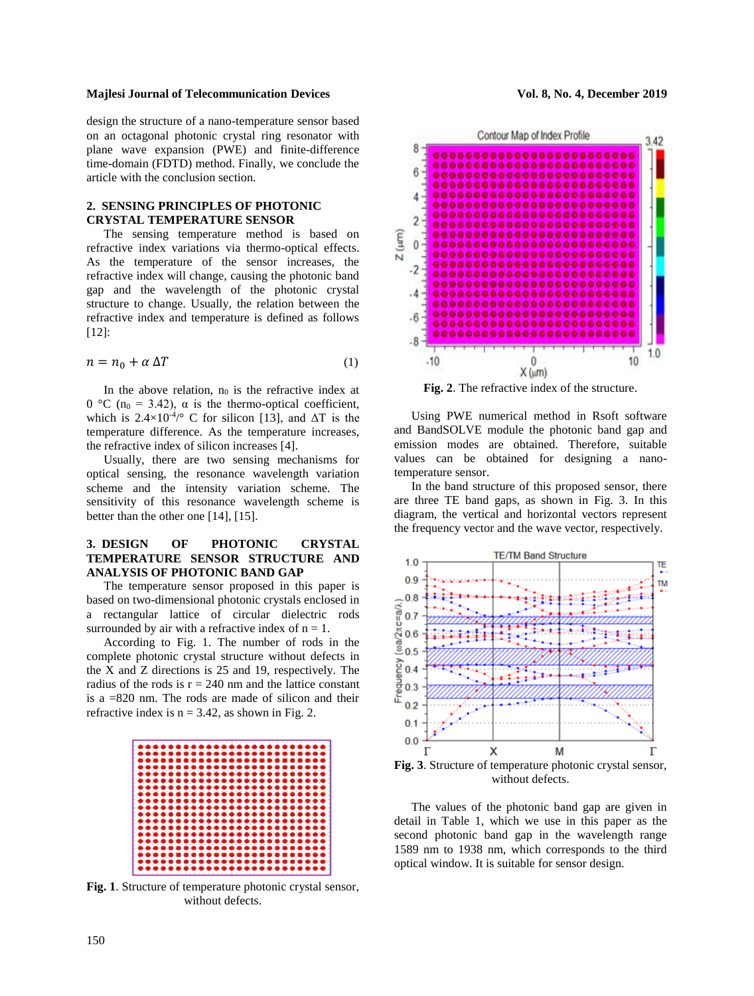design the structure of a nano-temperature sensor based on an octagonal photonic crystal ring resonator with plane wave expansion (PWE) and finite-difference time-domain (FDTD) method. Finally, we conclude the article with the conclusion section.

# **2. SENSING PRINCIPLES OF PHOTONIC CRYSTAL TEMPERATURE SENSOR**

The sensing temperature method is based on refractive index variations via thermo-optical effects. As the temperature of the sensor increases, the refractive index will change, causing the photonic band gap and the wavelength of the photonic crystal structure to change. Usually, the relation between the refractive index and temperature is defined as follows [12]:

$$
n = n_0 + \alpha \Delta T \tag{1}
$$

In the above relation,  $n_0$  is the refractive index at 0 °C (n<sub>0</sub> = 3.42), α is the thermo-optical coefficient, which is  $2.4 \times 10^{-4}$  C for silicon [13], and  $\Delta T$  is the temperature difference. As the temperature increases, the refractive index of silicon increases [4].

Usually, there are two sensing mechanisms for optical sensing, the resonance wavelength variation scheme and the intensity variation scheme. The sensitivity of this resonance wavelength scheme is better than the other one [14], [15].

# **3. DESIGN OF PHOTONIC CRYSTAL TEMPERATURE SENSOR STRUCTURE AND ANALYSIS OF PHOTONIC BAND GAP**

The temperature sensor proposed in this paper is based on two-dimensional photonic crystals enclosed in a rectangular lattice of circular dielectric rods surrounded by air with a refractive index of  $n = 1$ .

According to Fig. 1. The number of rods in the complete photonic crystal structure without defects in the X and Z directions is 25 and 19, respectively. The radius of the rods is  $r = 240$  nm and the lattice constant is a =820 nm. The rods are made of silicon and their refractive index is  $n = 3.42$ , as shown in Fig. 2.



**Fig. 1**. Structure of temperature photonic crystal sensor, without defects.



**Fig. 2**. The refractive index of the structure.

Using PWE numerical method in Rsoft software and BandSOLVE module the photonic band gap and emission modes are obtained. Therefore, suitable values can be obtained for designing a nanotemperature sensor.

In the band structure of this proposed sensor, there are three TE band gaps, as shown in Fig. 3. In this diagram, the vertical and horizontal vectors represent the frequency vector and the wave vector, respectively.



The values of the photonic band gap are given in detail in Table 1, which we use in this paper as the second photonic band gap in the wavelength range 1589 nm to 1938 nm, which corresponds to the third optical window. It is suitable for sensor design.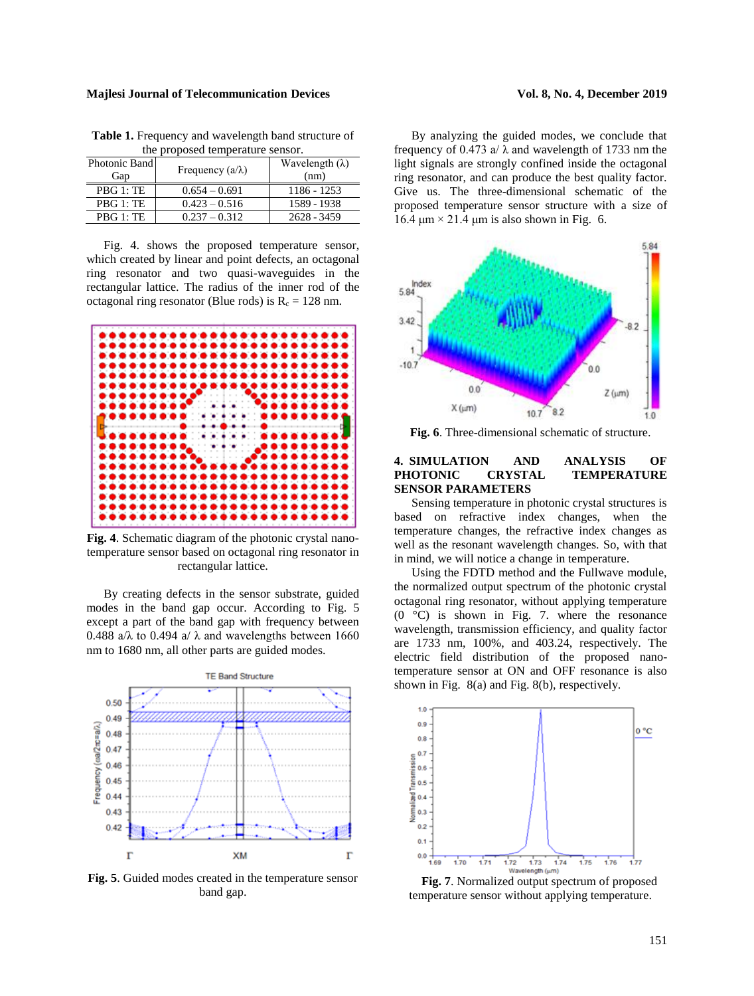| the proposed temperature sensor. |                         |                                |  |  |  |  |
|----------------------------------|-------------------------|--------------------------------|--|--|--|--|
| Photonic Band<br>Gap             | Frequency $(a/\lambda)$ | Wavelength $(\lambda)$<br>(nm) |  |  |  |  |
| PBG 1: TE                        | $0.654 - 0.691$         | $1186 - 1253$                  |  |  |  |  |
| PBG 1: TE                        | $0.423 - 0.516$         | 1589 - 1938                    |  |  |  |  |
| PBG 1:TE                         | $0.237 - 0.312$         | $2628 - 3459$                  |  |  |  |  |

**Table 1.** Frequency and wavelength band structure of the proposed temperature sensor.

Fig. 4. shows the proposed temperature sensor, which created by linear and point defects, an octagonal ring resonator and two quasi-waveguides in the rectangular lattice. The radius of the inner rod of the octagonal ring resonator (Blue rods) is  $R_c = 128$  nm.



**Fig. 4**. Schematic diagram of the photonic crystal nanotemperature sensor based on octagonal ring resonator in rectangular lattice.

By creating defects in the sensor substrate, guided modes in the band gap occur. According to Fig. 5 except a part of the band gap with frequency between 0.488 a/ $\lambda$  to 0.494 a/ $\lambda$  and wavelengths between 1660 nm to 1680 nm, all other parts are guided modes.



**Fig. 5**. Guided modes created in the temperature sensor band gap.

By analyzing the guided modes, we conclude that frequency of 0.473 a/ $\lambda$  and wavelength of 1733 nm the light signals are strongly confined inside the octagonal ring resonator, and can produce the best quality factor. Give us. The three-dimensional schematic of the proposed temperature sensor structure with a size of 16.4  $\mu$ m × 21.4  $\mu$ m is also shown in Fig. 6.



**Fig. 6**. Three-dimensional schematic of structure.

# **4. SIMULATION AND ANALYSIS OF PHOTONIC CRYSTAL TEMPERATURE SENSOR PARAMETERS**

Sensing temperature in photonic crystal structures is based on refractive index changes, when the temperature changes, the refractive index changes as well as the resonant wavelength changes. So, with that in mind, we will notice a change in temperature.

Using the FDTD method and the Fullwave module, the normalized output spectrum of the photonic crystal octagonal ring resonator, without applying temperature  $(0 \degree C)$  is shown in Fig. 7. where the resonance wavelength, transmission efficiency, and quality factor are 1733 nm, 100%, and 403.24, respectively. The electric field distribution of the proposed nanotemperature sensor at ON and OFF resonance is also shown in Fig. 8(a) and Fig. 8(b), respectively.



**Fig. 7**. Normalized output spectrum of proposed temperature sensor without applying temperature.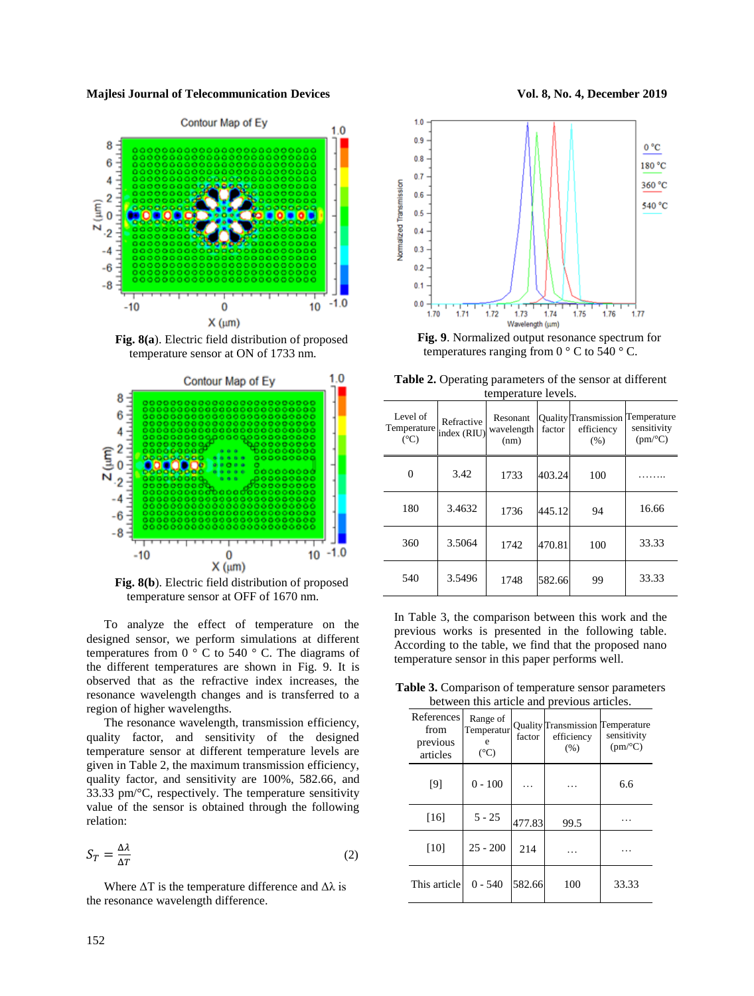

**Fig. 8(a**). Electric field distribution of proposed temperature sensor at ON of 1733 nm.



**Fig. 8(b**). Electric field distribution of proposed temperature sensor at OFF of 1670 nm.

To analyze the effect of temperature on the designed sensor, we perform simulations at different temperatures from 0  $\degree$  C to 540  $\degree$  C. The diagrams of the different temperatures are shown in Fig. 9. It is observed that as the refractive index increases, the resonance wavelength changes and is transferred to a region of higher wavelengths.

The resonance wavelength, transmission efficiency, quality factor, and sensitivity of the designed temperature sensor at different temperature levels are given in Table 2, the maximum transmission efficiency, quality factor, and sensitivity are 100%, 582.66, and 33.33 pm/°C, respectively. The temperature sensitivity value of the sensor is obtained through the following relation:

$$
S_T = \frac{\Delta \lambda}{\Delta T} \tag{2}
$$

Where  $\Delta T$  is the temperature difference and  $\Delta \lambda$  is the resonance wavelength difference.





**Fig. 9**. Normalized output resonance spectrum for temperatures ranging from  $0^{\circ}$  C to 540  $^{\circ}$  C.

**Table 2.** Operating parameters of the sensor at different temperature levels.

| Level of<br>Temperature<br>$({}^{\circ}C)$ | Refractive<br>index (RIU) | Resonant<br>wavelength<br>(nm) | factor | <b>Quality Transmission</b><br>efficiency<br>(% ) | Temperature<br>sensitivity<br>(pm/°C) |
|--------------------------------------------|---------------------------|--------------------------------|--------|---------------------------------------------------|---------------------------------------|
| 0                                          | 3.42                      | 1733                           | 403.24 | 100                                               |                                       |
| 180                                        | 3.4632                    | 1736                           | 445.12 | 94                                                | 16.66                                 |
| 360                                        | 3.5064                    | 1742                           | 470.81 | 100                                               | 33.33                                 |
| 540                                        | 3.5496                    | 1748                           | 582.66 | 99                                                | 33.33                                 |

In Table 3, the comparison between this work and the previous works is presented in the following table. According to the table, we find that the proposed nano temperature sensor in this paper performs well.

**Table 3.** Comparison of temperature sensor parameters between this article and previous articles.

| References<br>from<br>previous<br>articles | Range of<br>Temperatur<br>e<br>$({}^{\circ}C)$ | factor | <b>Quality Transmission</b><br>efficiency<br>(% ) | Temperature<br>sensitivity<br>$(pm$ <sup>o</sup> C) |
|--------------------------------------------|------------------------------------------------|--------|---------------------------------------------------|-----------------------------------------------------|
| [9]                                        | $0 - 100$                                      |        |                                                   | 6.6                                                 |
| $[16]$                                     | $5 - 25$                                       | 477.83 | 99.5                                              |                                                     |
| $[10]$                                     | $25 - 200$                                     | 214    |                                                   |                                                     |
| This article                               | $0 - 540$                                      | 582.66 | 100                                               | 33.33                                               |